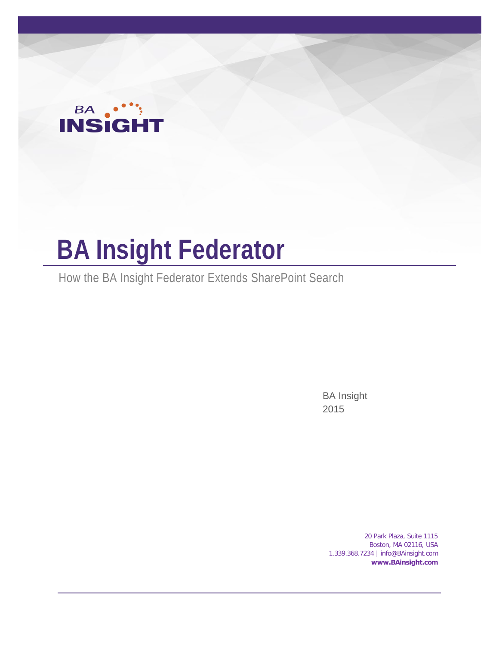# **BA ....**

## **BA Insight Federator**

How the BA Insight Federator Extends SharePoint Search

BA Insight 2015

> 20 Park Plaza, Suite 1115 Boston, MA 02116, USA 1.339.368.7234 | info@BAinsight.com **www.BAinsight.com**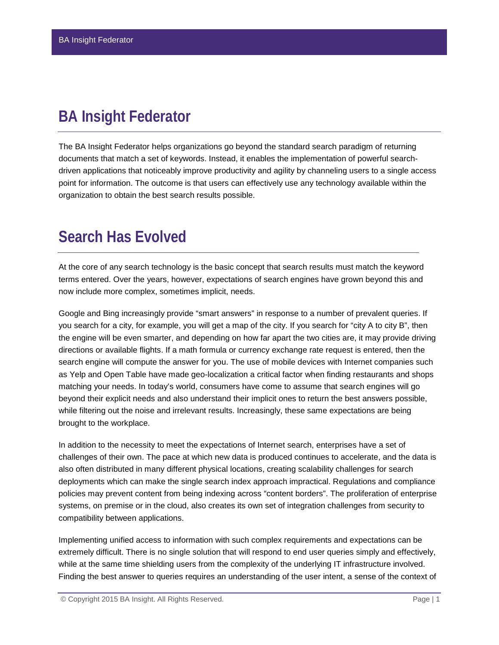## **BA Insight Federator**

The BA Insight Federator helps organizations go beyond the standard search paradigm of returning documents that match a set of keywords. Instead, it enables the implementation of powerful searchdriven applications that noticeably improve productivity and agility by channeling users to a single access point for information. The outcome is that users can effectively use any technology available within the organization to obtain the best search results possible.

## **Search Has Evolved**

At the core of any search technology is the basic concept that search results must match the keyword terms entered. Over the years, however, expectations of search engines have grown beyond this and now include more complex, sometimes implicit, needs.

Google and Bing increasingly provide "smart answers" in response to a number of prevalent queries. If you search for a city, for example, you will get a map of the city. If you search for "city A to city B", then the engine will be even smarter, and depending on how far apart the two cities are, it may provide driving directions or available flights. If a math formula or currency exchange rate request is entered, then the search engine will compute the answer for you. The use of mobile devices with Internet companies such as Yelp and Open Table have made geo-localization a critical factor when finding restaurants and shops matching your needs. In today's world, consumers have come to assume that search engines will go beyond their explicit needs and also understand their implicit ones to return the best answers possible, while filtering out the noise and irrelevant results. Increasingly, these same expectations are being brought to the workplace.

In addition to the necessity to meet the expectations of Internet search, enterprises have a set of challenges of their own. The pace at which new data is produced continues to accelerate, and the data is also often distributed in many different physical locations, creating scalability challenges for search deployments which can make the single search index approach impractical. Regulations and compliance policies may prevent content from being indexing across "content borders". The proliferation of enterprise systems, on premise or in the cloud, also creates its own set of integration challenges from security to compatibility between applications.

Implementing unified access to information with such complex requirements and expectations can be extremely difficult. There is no single solution that will respond to end user queries simply and effectively, while at the same time shielding users from the complexity of the underlying IT infrastructure involved. Finding the best answer to queries requires an understanding of the user intent, a sense of the context of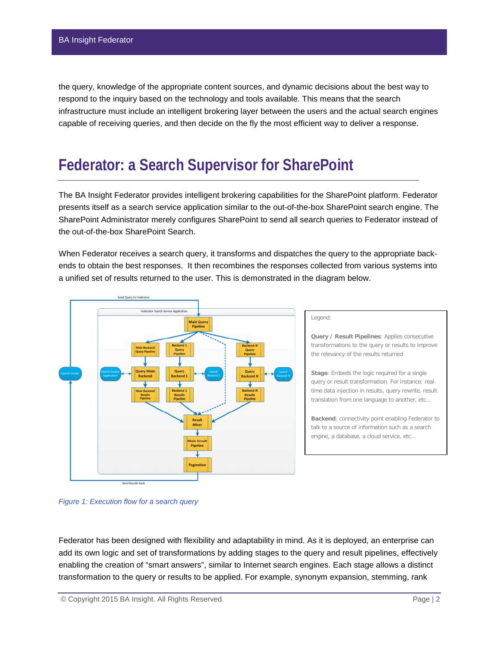the query, knowledge of the appropriate content sources, and dynamic decisions about the best way to respond to the inquiry based on the technology and tools available. This means that the search infrastructure must include an intelligent brokering layer between the users and the actual search engines capable of receiving queries, and then decide on the fly the most efficient way to deliver a response.

### **Federator: a Search Supervisor for SharePoint**

The BA Insight Federator provides intelligent brokering capabilities for the SharePoint platform. Federator presents itself as a search service application similar to the out-of-the-box SharePoint search engine. The SharePoint Administrator merely configures SharePoint to send all search queries to Federator instead of the out-of-the-box SharePoint Search.

When Federator receives a search query, it transforms and dispatches the query to the appropriate backends to obtain the best responses. It then recombines the responses collected from various systems into a unified set of results returned to the user. This is demonstrated in the diagram below.



#### Legend:

**Query / Result Pipelines**: Applies consecutive transformations to the query or results to improve the relevancy of the results returned

**Stage**: Embeds the logic required for a single query or result transformation. For instance: realtime data injection in results, query rewrite, result translation from one language to another, etc…

**Backend**: connectivity point enabling Federator to talk to a source of information such as a search engine, a database, a cloud service, etc...

*Figure 1: Execution flow for a search query*

Federator has been designed with flexibility and adaptability in mind. As it is deployed, an enterprise can add its own logic and set of transformations by adding stages to the query and result pipelines, effectively enabling the creation of "smart answers", similar to Internet search engines. Each stage allows a distinct transformation to the query or results to be applied. For example, synonym expansion, stemming, rank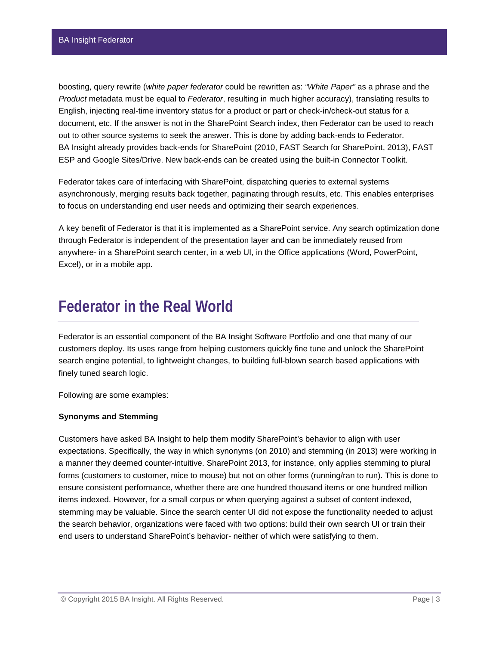boosting, query rewrite (*white paper federator* could be rewritten as: *"White Paper"* as a phrase and the *Product* metadata must be equal to *Federator*, resulting in much higher accuracy), translating results to English, injecting real-time inventory status for a product or part or check-in/check-out status for a document, etc. If the answer is not in the SharePoint Search index, then Federator can be used to reach out to other source systems to seek the answer. This is done by adding back-ends to Federator. BA Insight already provides back-ends for SharePoint (2010, FAST Search for SharePoint, 2013), FAST ESP and Google Sites/Drive. New back-ends can be created using the built-in Connector Toolkit.

Federator takes care of interfacing with SharePoint, dispatching queries to external systems asynchronously, merging results back together, paginating through results, etc. This enables enterprises to focus on understanding end user needs and optimizing their search experiences.

A key benefit of Federator is that it is implemented as a SharePoint service. Any search optimization done through Federator is independent of the presentation layer and can be immediately reused from anywhere- in a SharePoint search center, in a web UI, in the Office applications (Word, PowerPoint, Excel), or in a mobile app.

#### **Federator in the Real World**

Federator is an essential component of the BA Insight Software Portfolio and one that many of our customers deploy. Its uses range from helping customers quickly fine tune and unlock the SharePoint search engine potential, to lightweight changes, to building full-blown search based applications with finely tuned search logic.

Following are some examples:

#### **Synonyms and Stemming**

Customers have asked BA Insight to help them modify SharePoint's behavior to align with user expectations. Specifically, the way in which synonyms (on 2010) and stemming (in 2013) were working in a manner they deemed counter-intuitive. SharePoint 2013, for instance, only applies stemming to plural forms (customers to customer, mice to mouse) but not on other forms (running/ran to run). This is done to ensure consistent performance, whether there are one hundred thousand items or one hundred million items indexed. However, for a small corpus or when querying against a subset of content indexed, stemming may be valuable. Since the search center UI did not expose the functionality needed to adjust the search behavior, organizations were faced with two options: build their own search UI or train their end users to understand SharePoint's behavior- neither of which were satisfying to them.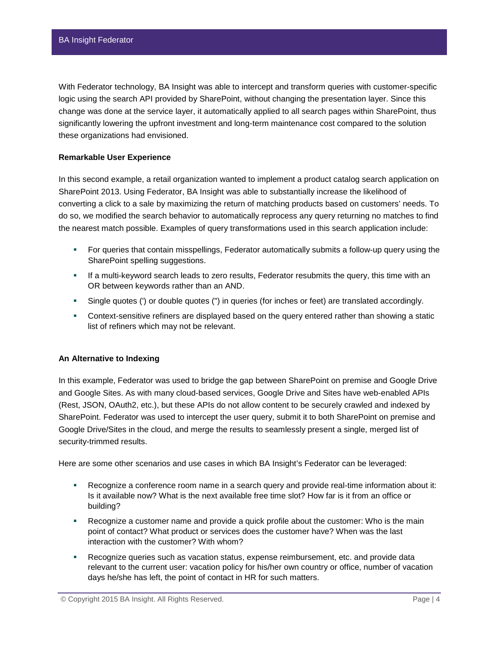With Federator technology, BA Insight was able to intercept and transform queries with customer-specific logic using the search API provided by SharePoint, without changing the presentation layer. Since this change was done at the service layer, it automatically applied to all search pages within SharePoint, thus significantly lowering the upfront investment and long-term maintenance cost compared to the solution these organizations had envisioned.

#### **Remarkable User Experience**

In this second example, a retail organization wanted to implement a product catalog search application on SharePoint 2013. Using Federator, BA Insight was able to substantially increase the likelihood of converting a click to a sale by maximizing the return of matching products based on customers' needs. To do so, we modified the search behavior to automatically reprocess any query returning no matches to find the nearest match possible. Examples of query transformations used in this search application include:

- For queries that contain misspellings, Federator automatically submits a follow-up query using the SharePoint spelling suggestions.
- **If a multi-keyword search leads to zero results, Federator resubmits the query, this time with an** OR between keywords rather than an AND.
- Single quotes (') or double quotes (") in queries (for inches or feet) are translated accordingly.
- Context-sensitive refiners are displayed based on the query entered rather than showing a static list of refiners which may not be relevant.

#### **An Alternative to Indexing**

In this example, Federator was used to bridge the gap between SharePoint on premise and Google Drive and Google Sites. As with many cloud-based services, Google Drive and Sites have web-enabled APIs (Rest, JSON, OAuth2, etc.), but these APIs do not allow content to be securely crawled and indexed by SharePoint. Federator was used to intercept the user query, submit it to both SharePoint on premise and Google Drive/Sites in the cloud, and merge the results to seamlessly present a single, merged list of security-trimmed results.

Here are some other scenarios and use cases in which BA Insight's Federator can be leveraged:

- Recognize a conference room name in a search query and provide real-time information about it: Is it available now? What is the next available free time slot? How far is it from an office or building?
- Recognize a customer name and provide a quick profile about the customer: Who is the main point of contact? What product or services does the customer have? When was the last interaction with the customer? With whom?
- Recognize queries such as vacation status, expense reimbursement, etc. and provide data relevant to the current user: vacation policy for his/her own country or office, number of vacation days he/she has left, the point of contact in HR for such matters.